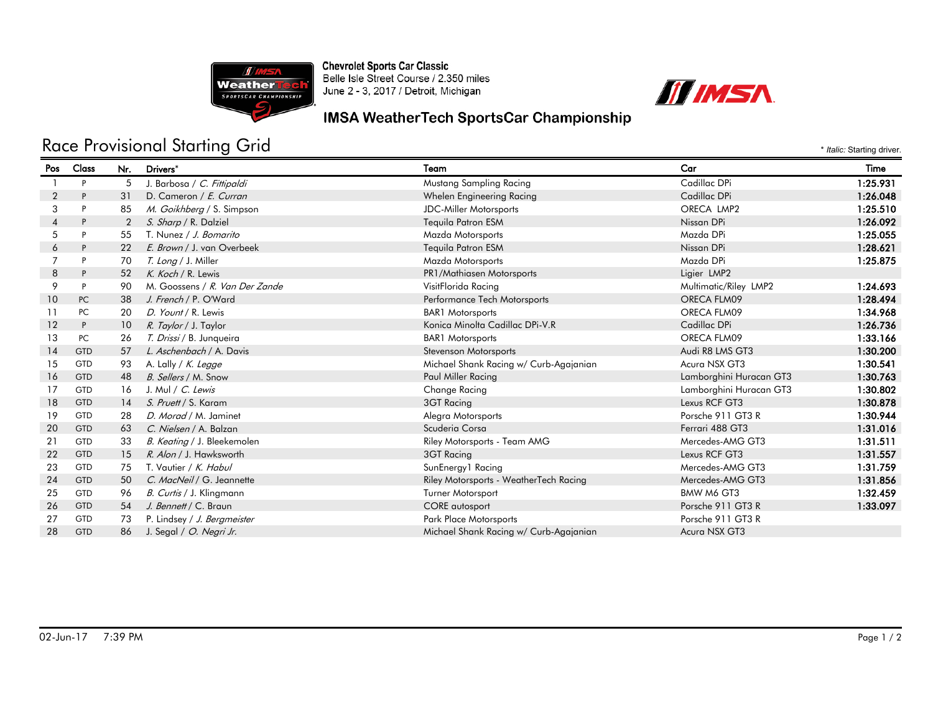

Chevrolet Sports Car Classic<br>Belle Isle Street Course / 2.350 miles June 2 - 3, 2017 / Detroit, Michigan



## **IMSA WeatherTech SportsCar Championship**

## Race Provisional Starting Grid

| Pos | Class      | Nr. | Drivers*                        | Team                                   | Car                     | Time     |
|-----|------------|-----|---------------------------------|----------------------------------------|-------------------------|----------|
|     | P          | 5   | J. Barbosa / C. Fittipaldi      | Mustang Sampling Racing                | Cadillac DPi            | 1:25.931 |
| 2   | P          | 31  | D. Cameron / E. Curran          | Whelen Engineering Racing              | Cadillac DPi            | 1:26.048 |
| 3   | P          | 85  | M. Goikhberg / S. Simpson       | <b>JDC-Miller Motorsports</b>          | ORECA LMP2              | 1:25.510 |
| 4   | P          |     | S. Sharp / R. Dalziel           | <b>Tequila Patron ESM</b>              | Nissan DPi              | 1:26.092 |
| 5   | P          | 55  | T. Nunez / J. Bomarito          | Mazda Motorsports                      | Mazda DPi               | 1:25.055 |
| 6   | P          | 22  | E. Brown / J. van Overbeek      | <b>Tequila Patron ESM</b>              | Nissan DPi              | 1:28.621 |
|     | P          | 70  | T. Long / J. Miller             | Mazda Motorsports                      | Mazda DPi               | 1:25.875 |
| 8   | P          | 52  | K. Koch / R. Lewis              | PR1/Mathiasen Motorsports              | Ligier LMP2             |          |
| 9   | P          | 90  | M. Goossens / R. Van Der Zande  | VisitFlorida Racing                    | Multimatic/Riley LMP2   | 1:24.693 |
| 10  | PC         | 38  | J. French / P. O'Ward           | Performance Tech Motorsports           | ORECA FLM09             | 1:28.494 |
| -11 | PC         | 20  | D. Yount / R. Lewis             | <b>BAR1</b> Motorsports                | ORECA FLM09             | 1:34.968 |
| 12  | P          | 10  | R. Taylor / J. Taylor           | Konica Minolta Cadillac DPi-V.R        | Cadillac DPi            | 1:26.736 |
| 13  | PC         | 26  | <i>T. Drissi</i> / B. Jungueira | <b>BAR1</b> Motorsports                | ORECA FLM09             | 1:33.166 |
| 14  | <b>GTD</b> | 57  | L. Aschenbach / A. Davis        | <b>Stevenson Motorsports</b>           | Audi R8 LMS GT3         | 1:30.200 |
| 15  | GTD        | 93  | A. Lally / K. Legge             | Michael Shank Racing w/ Curb-Agajanian | Acura NSX GT3           | 1:30.541 |
| 16  | <b>GTD</b> | 48  | B. Sellers / M. Snow            | Paul Miller Racing                     | Lamborghini Huracan GT3 | 1:30.763 |
| 17  | GTD        | 16  | J. Mul / C. Lewis               | Change Racing                          | Lamborghini Huracan GT3 | 1:30.802 |
| 18  | <b>GTD</b> | 14  | S. Pruett / S. Karam            | 3GT Racing                             | Lexus RCF GT3           | 1:30.878 |
| 19  | <b>GTD</b> | 28  | D. Morad / M. Jaminet           | Alegra Motorsports                     | Porsche 911 GT3 R       | 1:30.944 |
| 20  | <b>GTD</b> | 63  | C. Nielsen / A. Balzan          | Scuderia Corsa                         | Ferrari 488 GT3         | 1:31.016 |
| 21  | <b>GTD</b> | 33  | B. Keating / J. Bleekemolen     | Riley Motorsports - Team AMG           | Mercedes-AMG GT3        | 1:31.511 |
| 22  | <b>GTD</b> | 15  | R. Alon / J. Hawksworth         | <b>3GT Racing</b>                      | Lexus RCF GT3           | 1:31.557 |
| 23  | GTD        | 75  | T. Vautier / K. Habul           | SunEnergy1 Racing                      | Mercedes-AMG GT3        | 1:31.759 |
| 24  | <b>GTD</b> | 50  | C. MacNeil / G. Jeannette       | Riley Motorsports - WeatherTech Racing | Mercedes-AMG GT3        | 1:31.856 |
| 25  | GTD        | 96  | B. Curtis / J. Klingmann        | <b>Turner Motorsport</b>               | BMW M6 GT3              | 1:32.459 |
| 26  | <b>GTD</b> | 54  | J. Bennett / C. Braun           | <b>CORE</b> autosport                  | Porsche 911 GT3 R       | 1:33.097 |
| 27  | <b>GTD</b> | 73  | P. Lindsey / J. Bergmeister     | <b>Park Place Motorsports</b>          | Porsche 911 GT3 R       |          |
| 28  | <b>GTD</b> | 86  | J. Segal / O. Negri Jr.         | Michael Shank Racing w/ Curb-Agajanian | Acura NSX GT3           |          |

\* *Italic:* Starting driver.